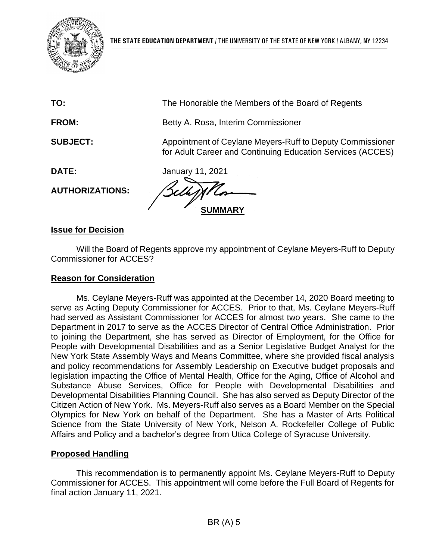

| TO:                    | The Honorable the Members of the Board of Regents                                                                       |
|------------------------|-------------------------------------------------------------------------------------------------------------------------|
| <b>FROM:</b>           | Betty A. Rosa, Interim Commissioner                                                                                     |
| <b>SUBJECT:</b>        | Appointment of Ceylane Meyers-Ruff to Deputy Commissioner<br>for Adult Career and Continuing Education Services (ACCES) |
| DATE:                  | January 11, 2021                                                                                                        |
| <b>AUTHORIZATIONS:</b> |                                                                                                                         |
|                        |                                                                                                                         |

### **Issue for Decision**

Will the Board of Regents approve my appointment of Ceylane Meyers-Ruff to Deputy Commissioner for ACCES?

#### **Reason for Consideration**

Ms. Ceylane Meyers-Ruff was appointed at the December 14, 2020 Board meeting to serve as Acting Deputy Commissioner for ACCES. Prior to that, Ms. Ceylane Meyers-Ruff had served as Assistant Commissioner for ACCES for almost two years. She came to the Department in 2017 to serve as the ACCES Director of Central Office Administration. Prior to joining the Department, she has served as Director of Employment, for the Office for People with Developmental Disabilities and as a Senior Legislative Budget Analyst for the New York State Assembly Ways and Means Committee, where she provided fiscal analysis and policy recommendations for Assembly Leadership on Executive budget proposals and legislation impacting the Office of Mental Health, Office for the Aging, Office of Alcohol and Substance Abuse Services, Office for People with Developmental Disabilities and Developmental Disabilities Planning Council. She has also served as Deputy Director of the Citizen Action of New York. Ms. Meyers-Ruff also serves as a Board Member on the Special Olympics for New York on behalf of the Department. She has a Master of Arts Political Science from the State University of New York, Nelson A. Rockefeller College of Public Affairs and Policy and a bachelor's degree from Utica College of Syracuse University.

### **Proposed Handling**

This recommendation is to permanently appoint Ms. Ceylane Meyers-Ruff to Deputy Commissioner for ACCES. This appointment will come before the Full Board of Regents for final action January 11, 2021.